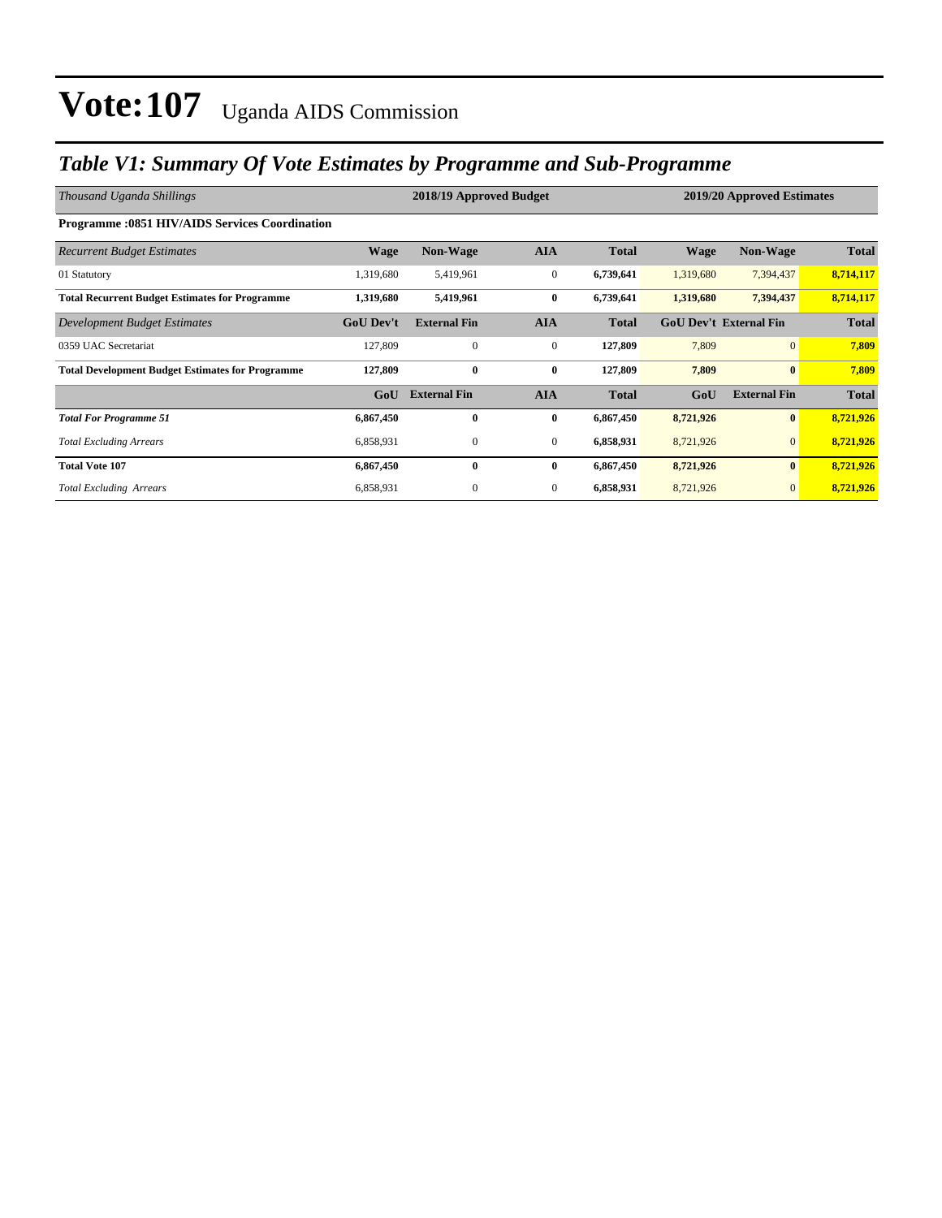### *Table V1: Summary Of Vote Estimates by Programme and Sub-Programme*

| Thousand Uganda Shillings                               |                  | 2018/19 Approved Budget |                  | 2019/20 Approved Estimates |                               |                     |              |
|---------------------------------------------------------|------------------|-------------------------|------------------|----------------------------|-------------------------------|---------------------|--------------|
| <b>Programme: 0851 HIV/AIDS Services Coordination</b>   |                  |                         |                  |                            |                               |                     |              |
| <b>Recurrent Budget Estimates</b>                       | <b>Wage</b>      | Non-Wage                | <b>AIA</b>       | <b>Total</b>               | <b>Wage</b>                   | Non-Wage            | <b>Total</b> |
| 01 Statutory                                            | 1,319,680        | 5,419,961               | $\mathbf{0}$     | 6,739,641                  | 1,319,680                     | 7,394,437           | 8,714,117    |
| <b>Total Recurrent Budget Estimates for Programme</b>   | 1,319,680        | 5,419,961               | $\bf{0}$         | 6,739,641                  | 1,319,680                     | 7,394,437           | 8,714,117    |
| Development Budget Estimates                            | <b>GoU Dev't</b> | <b>External Fin</b>     | <b>AIA</b>       | <b>Total</b>               | <b>GoU Dev't External Fin</b> |                     | <b>Total</b> |
| 0359 UAC Secretariat                                    | 127,809          | $\mathbf{0}$            | $\boldsymbol{0}$ | 127,809                    | 7,809                         | $\overline{0}$      | 7,809        |
| <b>Total Development Budget Estimates for Programme</b> | 127,809          | $\bf{0}$                | $\bf{0}$         | 127,809                    | 7,809                         | $\bf{0}$            | 7,809        |
|                                                         | GoU              | <b>External Fin</b>     | <b>AIA</b>       | <b>Total</b>               | GoU                           | <b>External Fin</b> | <b>Total</b> |
| <b>Total For Programme 51</b>                           | 6,867,450        | $\bf{0}$                | $\bf{0}$         | 6,867,450                  | 8,721,926                     | $\bf{0}$            | 8,721,926    |
| <b>Total Excluding Arrears</b>                          | 6,858,931        | $\mathbf{0}$            | $\overline{0}$   | 6,858,931                  | 8,721,926                     | $\mathbf{0}$        | 8,721,926    |
| <b>Total Vote 107</b>                                   | 6,867,450        | $\mathbf{0}$            | $\bf{0}$         | 6,867,450                  | 8,721,926                     | $\bf{0}$            | 8,721,926    |
| <b>Total Excluding Arrears</b>                          | 6,858,931        | $\mathbf{0}$            | $\overline{0}$   | 6,858,931                  | 8,721,926                     | $\mathbf{0}$        | 8,721,926    |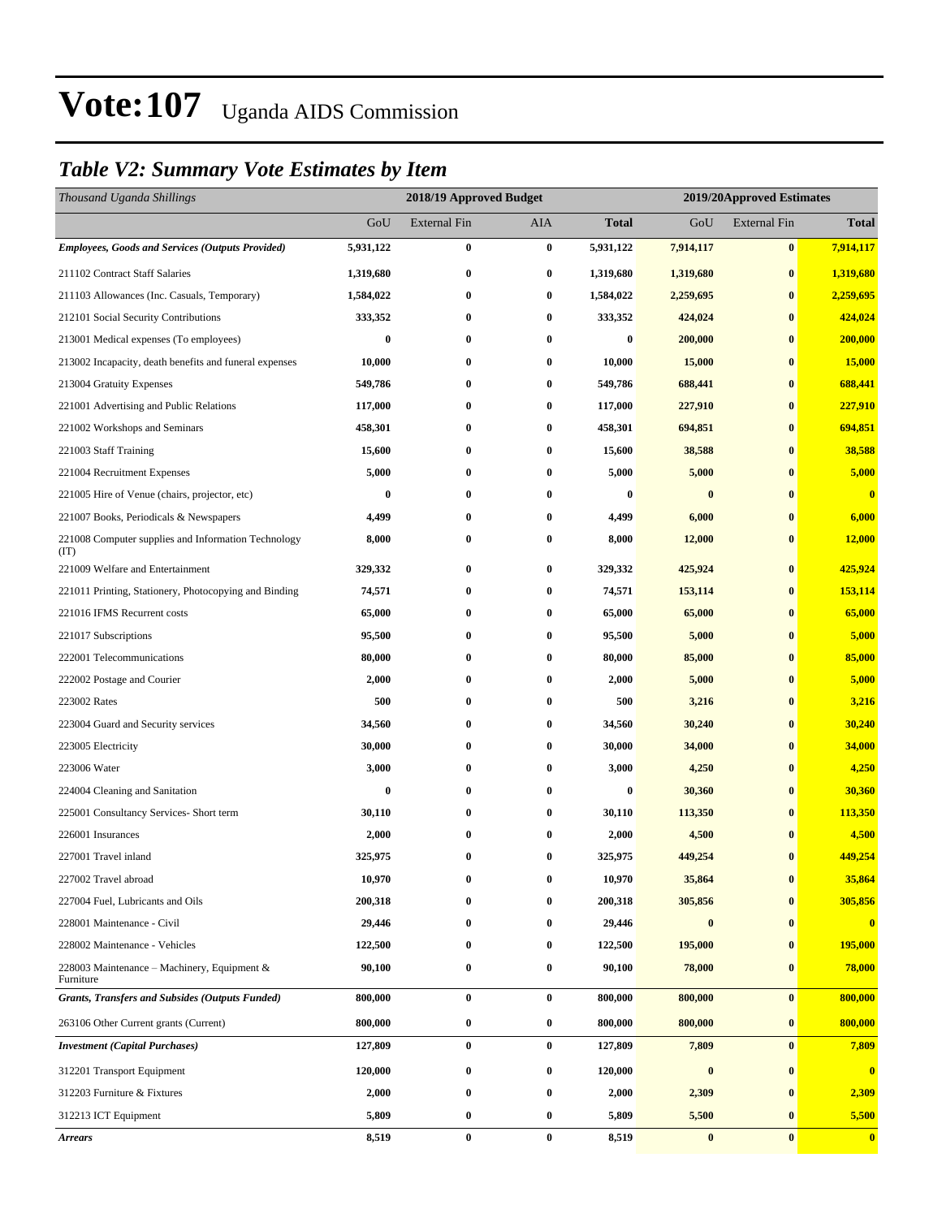### *Table V2: Summary Vote Estimates by Item*

| Thousand Uganda Shillings                                   |           | 2018/19 Approved Budget |            | 2019/20Approved Estimates |           |                     |                |
|-------------------------------------------------------------|-----------|-------------------------|------------|---------------------------|-----------|---------------------|----------------|
|                                                             | GoU       | <b>External Fin</b>     | <b>AIA</b> | <b>Total</b>              | GoU       | <b>External Fin</b> | <b>Total</b>   |
| <b>Employees, Goods and Services (Outputs Provided)</b>     | 5,931,122 | $\bf{0}$                | $\bf{0}$   | 5,931,122                 | 7,914,117 | $\bf{0}$            | 7,914,117      |
| 211102 Contract Staff Salaries                              | 1,319,680 | $\bf{0}$                | $\bf{0}$   | 1,319,680                 | 1,319,680 | $\bf{0}$            | 1,319,680      |
| 211103 Allowances (Inc. Casuals, Temporary)                 | 1,584,022 | 0                       | $\bf{0}$   | 1,584,022                 | 2,259,695 | $\bf{0}$            | 2,259,695      |
| 212101 Social Security Contributions                        | 333,352   | $\bf{0}$                | $\bf{0}$   | 333,352                   | 424,024   | $\bf{0}$            | 424,024        |
| 213001 Medical expenses (To employees)                      | $\bf{0}$  | $\bf{0}$                | $\bf{0}$   | $\bf{0}$                  | 200,000   | $\bf{0}$            | 200,000        |
| 213002 Incapacity, death benefits and funeral expenses      | 10,000    | $\bf{0}$                | $\bf{0}$   | 10,000                    | 15,000    | $\bf{0}$            | 15,000         |
| 213004 Gratuity Expenses                                    | 549,786   | 0                       | $\bf{0}$   | 549,786                   | 688,441   | $\bf{0}$            | 688,441        |
| 221001 Advertising and Public Relations                     | 117,000   | 0                       | $\bf{0}$   | 117,000                   | 227,910   | $\bf{0}$            | 227,910        |
| 221002 Workshops and Seminars                               | 458,301   | $\bf{0}$                | $\bf{0}$   | 458,301                   | 694,851   | $\bf{0}$            | 694,851        |
| 221003 Staff Training                                       | 15,600    | $\bf{0}$                | $\bf{0}$   | 15,600                    | 38,588    | $\bf{0}$            | 38,588         |
| 221004 Recruitment Expenses                                 | 5,000     | $\bf{0}$                | $\bf{0}$   | 5,000                     | 5,000     | $\bf{0}$            | 5,000          |
| 221005 Hire of Venue (chairs, projector, etc)               | $\bf{0}$  | 0                       | $\bf{0}$   | $\bf{0}$                  | $\bf{0}$  | $\bf{0}$            | $\bf{0}$       |
| 221007 Books, Periodicals & Newspapers                      | 4,499     | 0                       | $\bf{0}$   | 4,499                     | 6,000     | $\bf{0}$            | 6,000          |
| 221008 Computer supplies and Information Technology<br>(TT) | 8,000     | $\bf{0}$                | $\bf{0}$   | 8,000                     | 12,000    | $\bf{0}$            | 12,000         |
| 221009 Welfare and Entertainment                            | 329,332   | $\bf{0}$                | $\bf{0}$   | 329,332                   | 425,924   | $\bf{0}$            | 425,924        |
| 221011 Printing, Stationery, Photocopying and Binding       | 74,571    | 0                       | $\bf{0}$   | 74,571                    | 153,114   | $\bf{0}$            | 153,114        |
| 221016 IFMS Recurrent costs                                 | 65,000    | 0                       | $\bf{0}$   | 65,000                    | 65,000    | $\bf{0}$            | 65,000         |
| 221017 Subscriptions                                        | 95,500    | $\bf{0}$                | $\bf{0}$   | 95,500                    | 5,000     | $\bf{0}$            | 5,000          |
| 222001 Telecommunications                                   | 80,000    | 0                       | $\bf{0}$   | 80,000                    | 85,000    | $\bf{0}$            | 85,000         |
| 222002 Postage and Courier                                  | 2,000     | $\boldsymbol{0}$        | $\bf{0}$   | 2,000                     | 5,000     | $\bf{0}$            | 5,000          |
| 223002 Rates                                                | 500       | 0                       | $\bf{0}$   | 500                       | 3,216     | $\bf{0}$            | 3,216          |
| 223004 Guard and Security services                          | 34,560    | 0                       | $\bf{0}$   | 34,560                    | 30,240    | $\bf{0}$            | 30,240         |
| 223005 Electricity                                          | 30,000    | $\bf{0}$                | $\bf{0}$   | 30,000                    | 34,000    | $\bf{0}$            | 34,000         |
| 223006 Water                                                | 3,000     | 0                       | $\bf{0}$   | 3,000                     | 4,250     | $\bf{0}$            | 4,250          |
| 224004 Cleaning and Sanitation                              | $\bf{0}$  | $\bf{0}$                | $\bf{0}$   | $\bf{0}$                  | 30,360    | $\bf{0}$            | 30,360         |
| 225001 Consultancy Services- Short term                     | 30,110    | 0                       | $\bf{0}$   | 30,110                    | 113,350   | $\bf{0}$            | <b>113,350</b> |
| 226001 Insurances                                           | 2,000     | 0                       | $\bf{0}$   | 2,000                     | 4,500     | $\bf{0}$            | 4,500          |
| 227001 Travel inland                                        | 325,975   | $\bf{0}$                | $\bf{0}$   | 325,975                   | 449,254   | $\bf{0}$            | 449,254        |
| 227002 Travel abroad                                        | 10,970    | 0                       | $\bf{0}$   | 10,970                    | 35,864    | $\bf{0}$            | 35,864         |
| 227004 Fuel, Lubricants and Oils                            | 200,318   | 0                       | $\bf{0}$   | 200,318                   | 305,856   | $\bf{0}$            | 305,856        |
| 228001 Maintenance - Civil                                  | 29,446    | 0                       | $\bf{0}$   | 29,446                    | $\bf{0}$  | $\bf{0}$            | $\bf{0}$       |
| 228002 Maintenance - Vehicles                               | 122,500   | 0                       | $\bf{0}$   | 122,500                   | 195,000   | $\bf{0}$            | 195,000        |
| 228003 Maintenance – Machinery, Equipment $\&$<br>Furniture | 90,100    | $\bf{0}$                | $\bf{0}$   | 90,100                    | 78,000    | $\bf{0}$            | 78,000         |
| <b>Grants, Transfers and Subsides (Outputs Funded)</b>      | 800,000   | $\bf{0}$                | $\bf{0}$   | 800,000                   | 800,000   | $\bf{0}$            | 800,000        |
| 263106 Other Current grants (Current)                       | 800,000   | $\boldsymbol{0}$        | $\bf{0}$   | 800,000                   | 800,000   | $\bf{0}$            | 800,000        |
| <b>Investment</b> (Capital Purchases)                       | 127,809   | $\bf{0}$                | $\bf{0}$   | 127,809                   | 7,809     | $\bf{0}$            | 7,809          |
| 312201 Transport Equipment                                  | 120,000   | 0                       | $\bf{0}$   | 120,000                   | $\pmb{0}$ | $\bf{0}$            | $\bf{0}$       |
| 312203 Furniture & Fixtures                                 | 2,000     | $\bf{0}$                | $\bf{0}$   | 2,000                     | 2,309     | $\bf{0}$            | 2,309          |
| 312213 ICT Equipment                                        | 5,809     | $\bf{0}$                | $\bf{0}$   | 5,809                     | 5,500     | $\bf{0}$            | 5,500          |
| <b>Arrears</b>                                              | 8,519     | $\bf{0}$                | $\bf{0}$   | 8,519                     | $\pmb{0}$ | $\bf{0}$            | $\mathbf{0}$   |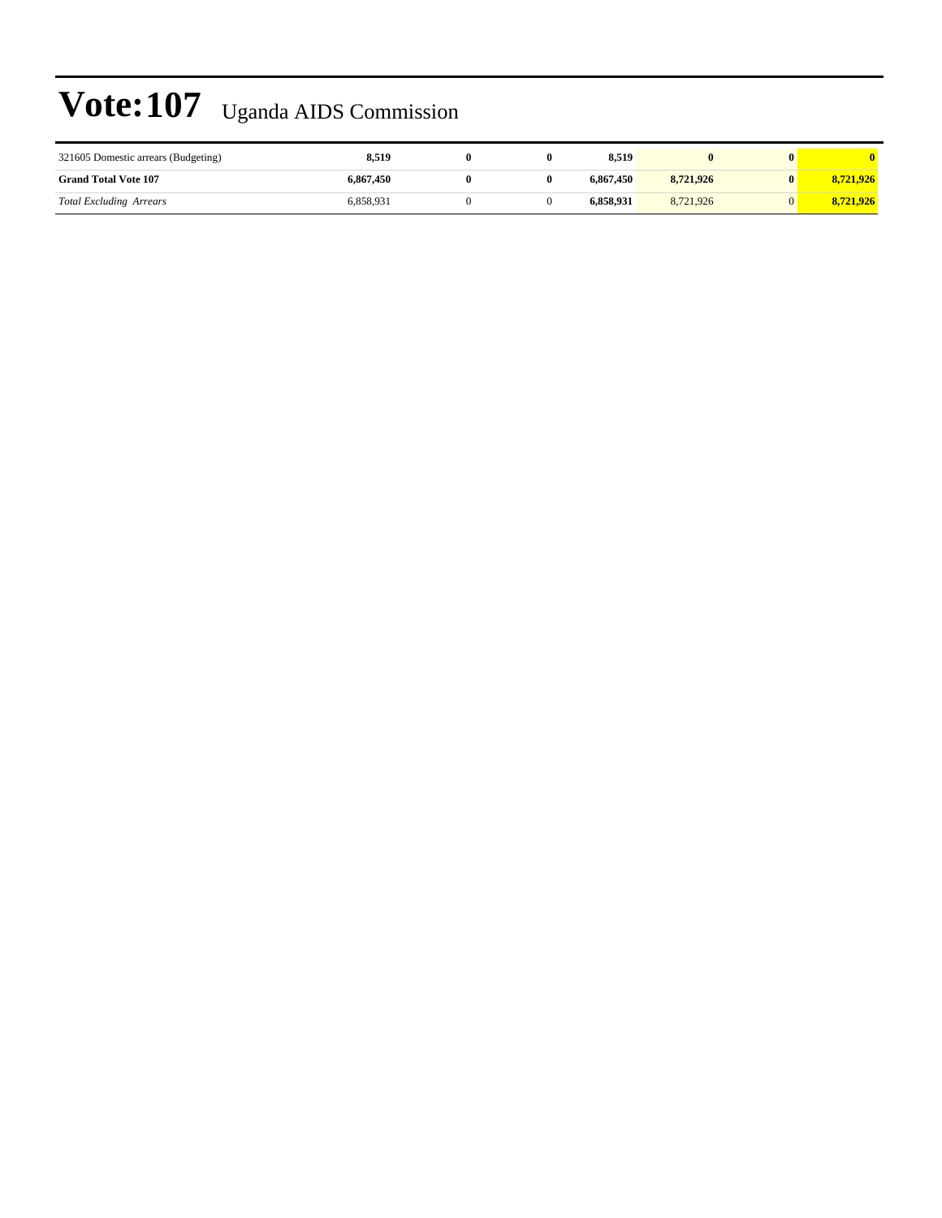| 321605 Domestic arrears (Budgeting) | 8.519     |  | 8.519     |           |           |
|-------------------------------------|-----------|--|-----------|-----------|-----------|
| <b>Grand Total Vote 107</b>         | 6,867,450 |  | 6.867.450 | 8.721.926 | 8.721.926 |
| <b>Total Excluding Arrears</b>      | 6.858.931 |  | 6.858.931 | 8.721.926 | 8.721.926 |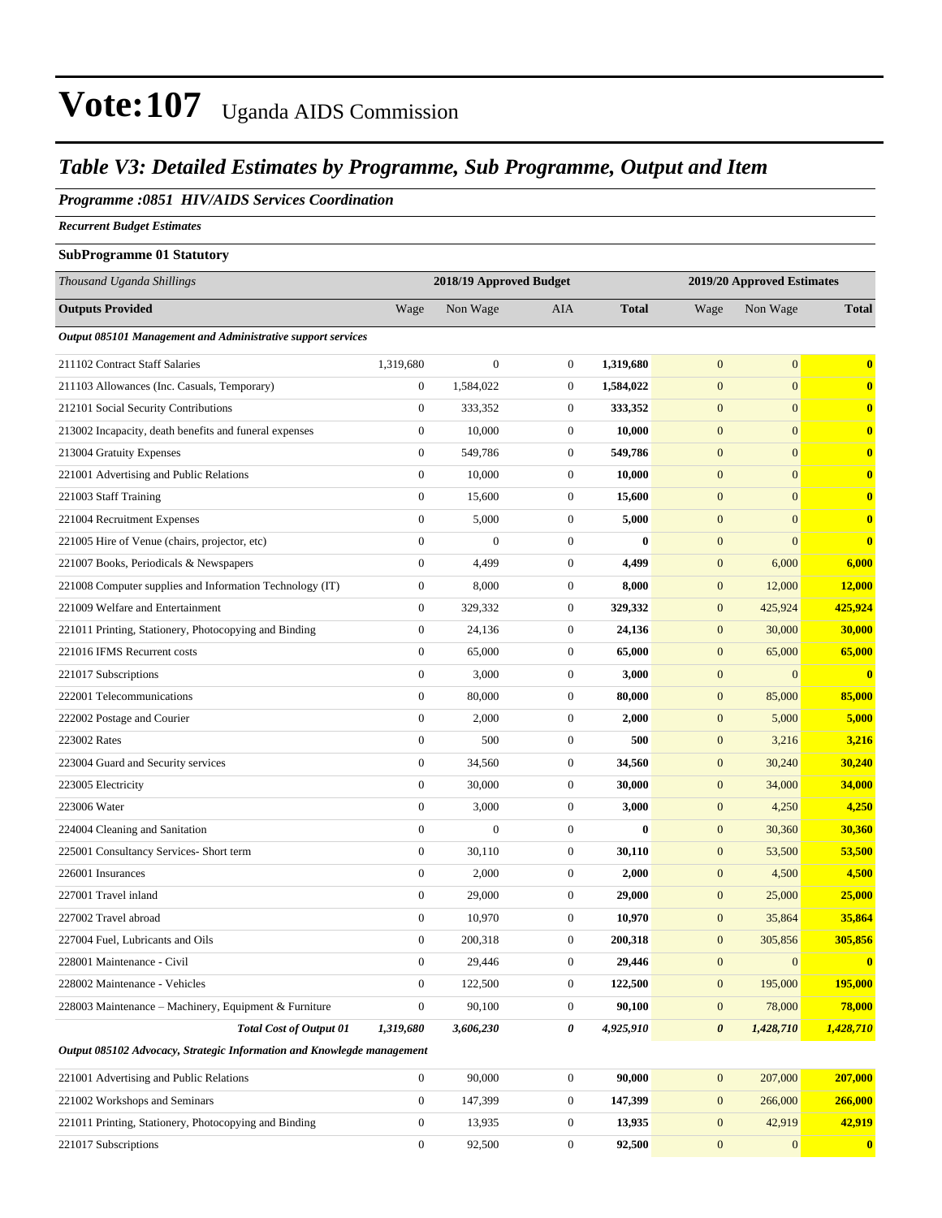#### *Table V3: Detailed Estimates by Programme, Sub Programme, Output and Item*

#### *Programme :0851 HIV/AIDS Services Coordination*

*Recurrent Budget Estimates*

#### **SubProgramme 01 Statutory**

| Thousand Uganda Shillings                                              |                  | 2018/19 Approved Budget |                  | 2019/20 Approved Estimates |                       |                  |              |
|------------------------------------------------------------------------|------------------|-------------------------|------------------|----------------------------|-----------------------|------------------|--------------|
| <b>Outputs Provided</b>                                                | Wage             | Non Wage                | AIA              | <b>Total</b>               | Wage                  | Non Wage         | <b>Total</b> |
| Output 085101 Management and Administrative support services           |                  |                         |                  |                            |                       |                  |              |
| 211102 Contract Staff Salaries                                         | 1,319,680        | $\boldsymbol{0}$        | $\mathbf{0}$     | 1,319,680                  | $\mathbf{0}$          | $\mathbf{0}$     | $\bf{0}$     |
| 211103 Allowances (Inc. Casuals, Temporary)                            | $\boldsymbol{0}$ | 1,584,022               | $\mathbf{0}$     | 1,584,022                  | $\mathbf{0}$          | $\overline{0}$   | $\bf{0}$     |
| 212101 Social Security Contributions                                   | $\mathbf{0}$     | 333,352                 | $\mathbf{0}$     | 333,352                    | $\mathbf{0}$          | $\overline{0}$   | $\bf{0}$     |
| 213002 Incapacity, death benefits and funeral expenses                 | $\boldsymbol{0}$ | 10,000                  | $\mathbf{0}$     | 10,000                     | $\mathbf{0}$          | $\overline{0}$   | $\bf{0}$     |
| 213004 Gratuity Expenses                                               | $\mathbf{0}$     | 549,786                 | $\mathbf{0}$     | 549,786                    | $\boldsymbol{0}$      | $\overline{0}$   | $\bf{0}$     |
| 221001 Advertising and Public Relations                                | $\boldsymbol{0}$ | 10,000                  | $\mathbf{0}$     | 10,000                     | $\mathbf{0}$          | $\overline{0}$   | $\bf{0}$     |
| 221003 Staff Training                                                  | $\boldsymbol{0}$ | 15,600                  | $\mathbf{0}$     | 15,600                     | $\mathbf{0}$          | $\overline{0}$   | $\bf{0}$     |
| 221004 Recruitment Expenses                                            | $\boldsymbol{0}$ | 5,000                   | $\mathbf{0}$     | 5,000                      | $\mathbf{0}$          | $\overline{0}$   | $\bf{0}$     |
| 221005 Hire of Venue (chairs, projector, etc)                          | $\boldsymbol{0}$ | $\overline{0}$          | $\mathbf{0}$     | $\bf{0}$                   | $\mathbf{0}$          | $\overline{0}$   | $\bf{0}$     |
| 221007 Books, Periodicals & Newspapers                                 | $\boldsymbol{0}$ | 4,499                   | $\mathbf{0}$     | 4,499                      | $\boldsymbol{0}$      | 6,000            | 6,000        |
| 221008 Computer supplies and Information Technology (IT)               | 0                | 8,000                   | $\mathbf{0}$     | 8,000                      | $\boldsymbol{0}$      | 12,000           | 12,000       |
| 221009 Welfare and Entertainment                                       | $\boldsymbol{0}$ | 329,332                 | $\mathbf{0}$     | 329,332                    | $\boldsymbol{0}$      | 425,924          | 425,924      |
| 221011 Printing, Stationery, Photocopying and Binding                  | $\boldsymbol{0}$ | 24,136                  | $\boldsymbol{0}$ | 24,136                     | $\mathbf{0}$          | 30,000           | 30,000       |
| 221016 IFMS Recurrent costs                                            | $\boldsymbol{0}$ | 65,000                  | $\mathbf{0}$     | 65,000                     | $\mathbf{0}$          | 65,000           | 65,000       |
| 221017 Subscriptions                                                   | $\boldsymbol{0}$ | 3,000                   | $\mathbf{0}$     | 3,000                      | $\mathbf{0}$          | $\overline{0}$   | $\bf{0}$     |
| 222001 Telecommunications                                              | $\boldsymbol{0}$ | 80,000                  | $\mathbf{0}$     | 80,000                     | $\mathbf{0}$          | 85,000           | 85,000       |
| 222002 Postage and Courier                                             | $\boldsymbol{0}$ | 2,000                   | $\mathbf{0}$     | 2,000                      | $\boldsymbol{0}$      | 5,000            | 5,000        |
| 223002 Rates                                                           | $\boldsymbol{0}$ | 500                     | $\mathbf{0}$     | 500                        | $\mathbf{0}$          | 3,216            | 3,216        |
| 223004 Guard and Security services                                     | $\boldsymbol{0}$ | 34,560                  | $\mathbf{0}$     | 34,560                     | $\mathbf{0}$          | 30,240           | 30,240       |
| 223005 Electricity                                                     | $\boldsymbol{0}$ | 30,000                  | $\mathbf{0}$     | 30,000                     | $\boldsymbol{0}$      | 34,000           | 34,000       |
| 223006 Water                                                           | $\boldsymbol{0}$ | 3,000                   | $\mathbf{0}$     | 3,000                      | $\boldsymbol{0}$      | 4,250            | 4,250        |
| 224004 Cleaning and Sanitation                                         | $\overline{0}$   | $\overline{0}$          | $\mathbf{0}$     | $\bf{0}$                   | $\boldsymbol{0}$      | 30,360           | 30,360       |
| 225001 Consultancy Services- Short term                                | $\boldsymbol{0}$ | 30,110                  | $\mathbf{0}$     | 30,110                     | $\mathbf{0}$          | 53,500           | 53,500       |
| 226001 Insurances                                                      | $\boldsymbol{0}$ | 2,000                   | $\mathbf{0}$     | 2,000                      | $\mathbf{0}$          | 4,500            | 4,500        |
| 227001 Travel inland                                                   | $\boldsymbol{0}$ | 29,000                  | $\mathbf{0}$     | 29,000                     | $\boldsymbol{0}$      | 25,000           | 25,000       |
| 227002 Travel abroad                                                   | $\boldsymbol{0}$ | 10,970                  | $\mathbf{0}$     | 10,970                     | $\boldsymbol{0}$      | 35,864           | 35,864       |
| 227004 Fuel, Lubricants and Oils                                       | $\boldsymbol{0}$ | 200,318                 | $\boldsymbol{0}$ | 200,318                    | $\mathbf{0}$          | 305,856          | 305,856      |
| 228001 Maintenance - Civil                                             | $\boldsymbol{0}$ | 29,446                  | $\boldsymbol{0}$ | 29,446                     | $\boldsymbol{0}$      | $\mathbf{0}$     | $\mathbf{0}$ |
| 228002 Maintenance - Vehicles                                          | $\mathbf{0}$     | 122,500                 | $\mathbf{0}$     | 122,500                    | $\mathbf{0}$          | 195,000          | 195,000      |
| 228003 Maintenance - Machinery, Equipment & Furniture                  | $\boldsymbol{0}$ | 90,100                  | $\boldsymbol{0}$ | 90,100                     | $\boldsymbol{0}$      | 78,000           | 78,000       |
| <b>Total Cost of Output 01</b>                                         | 1,319,680        | 3,606,230               | 0                | 4,925,910                  | $\boldsymbol{\theta}$ | 1,428,710        | 1,428,710    |
| Output 085102 Advocacy, Strategic Information and Knowlegde management |                  |                         |                  |                            |                       |                  |              |
| 221001 Advertising and Public Relations                                | $\boldsymbol{0}$ | 90,000                  | $\boldsymbol{0}$ | 90,000                     | $\boldsymbol{0}$      | 207,000          | 207,000      |
| 221002 Workshops and Seminars                                          | $\overline{0}$   | 147,399                 | $\boldsymbol{0}$ | 147,399                    | $\boldsymbol{0}$      | 266,000          | 266,000      |
| 221011 Printing, Stationery, Photocopying and Binding                  | $\boldsymbol{0}$ | 13,935                  | $\boldsymbol{0}$ | 13,935                     | $\mathbf{0}$          | 42,919           | 42,919       |
| 221017 Subscriptions                                                   | $\boldsymbol{0}$ | 92,500                  | $\boldsymbol{0}$ | 92,500                     | $\boldsymbol{0}$      | $\boldsymbol{0}$ | $\bf{0}$     |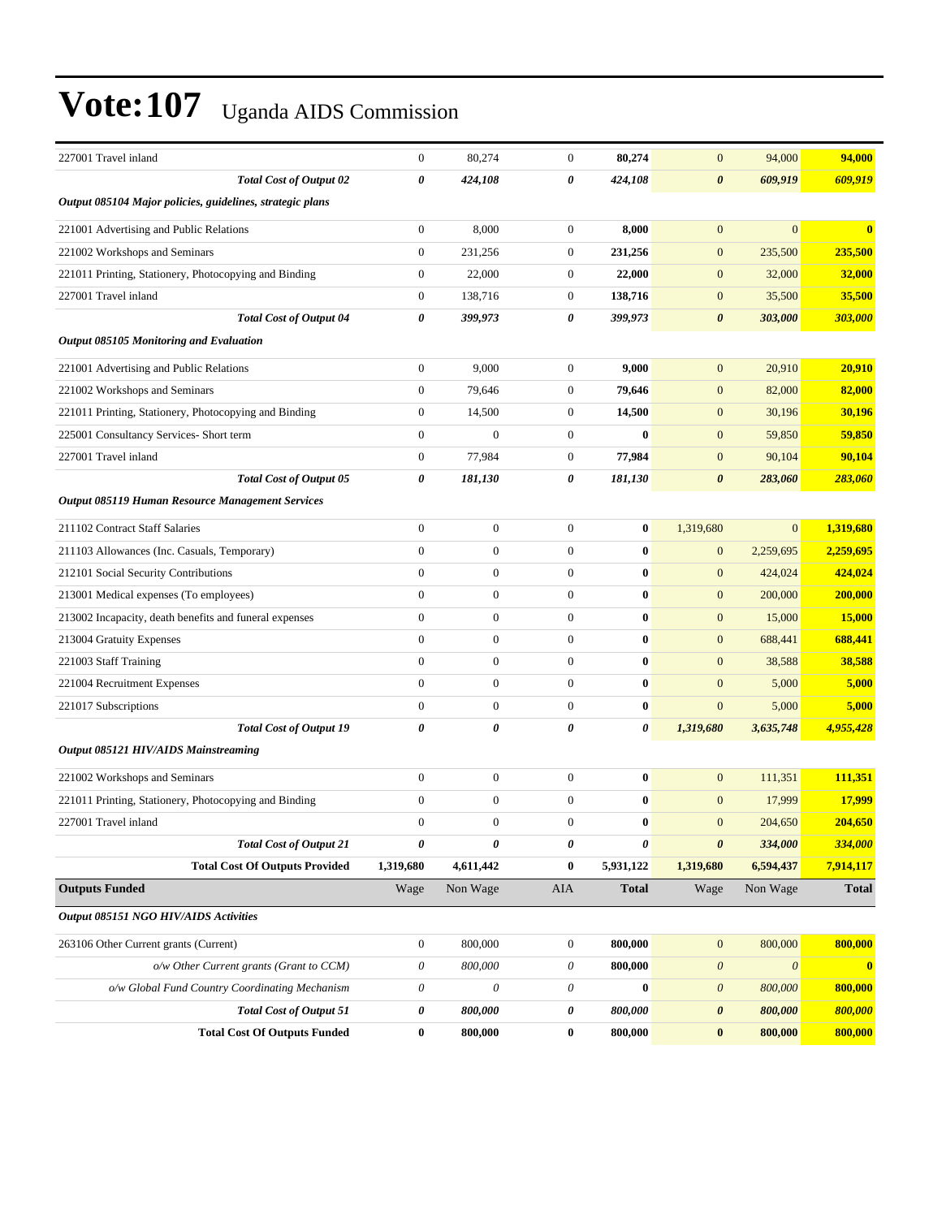| 227001 Travel inland                                                             | $\boldsymbol{0}$          | 80,274           | $\boldsymbol{0}$                                       | 80,274       | $\boldsymbol{0}$                               | 94,000                               | 94,000                  |
|----------------------------------------------------------------------------------|---------------------------|------------------|--------------------------------------------------------|--------------|------------------------------------------------|--------------------------------------|-------------------------|
| <b>Total Cost of Output 02</b>                                                   | 0                         | 424,108          | 0                                                      | 424,108      | $\boldsymbol{\theta}$                          | 609,919                              | 609,919                 |
| Output 085104 Major policies, guidelines, strategic plans                        |                           |                  |                                                        |              |                                                |                                      |                         |
| 221001 Advertising and Public Relations                                          | $\boldsymbol{0}$          | 8,000            | $\boldsymbol{0}$                                       | 8,000        | $\mathbf{0}$                                   | $\overline{0}$                       | $\bf{0}$                |
| 221002 Workshops and Seminars                                                    | $\boldsymbol{0}$          | 231,256          | $\boldsymbol{0}$                                       | 231,256      | $\mathbf{0}$                                   | 235,500                              | 235,500                 |
| 221011 Printing, Stationery, Photocopying and Binding                            | $\boldsymbol{0}$          | 22,000           | $\boldsymbol{0}$                                       | 22,000       | $\mathbf{0}$                                   | 32,000                               | 32,000                  |
| 227001 Travel inland                                                             | $\boldsymbol{0}$          | 138,716          | $\boldsymbol{0}$                                       | 138,716      | $\mathbf{0}$                                   | 35,500                               | 35,500                  |
| <b>Total Cost of Output 04</b>                                                   | 0                         | 399,973          | 0                                                      | 399,973      | $\boldsymbol{\theta}$                          | 303,000                              | 303,000                 |
| Output 085105 Monitoring and Evaluation                                          |                           |                  |                                                        |              |                                                |                                      |                         |
| 221001 Advertising and Public Relations                                          | $\boldsymbol{0}$          | 9,000            | $\boldsymbol{0}$                                       | 9,000        | $\mathbf{0}$                                   | 20,910                               | 20,910                  |
| 221002 Workshops and Seminars                                                    | $\boldsymbol{0}$          | 79,646           | $\boldsymbol{0}$                                       | 79,646       | $\mathbf{0}$                                   | 82,000                               | 82,000                  |
| 221011 Printing, Stationery, Photocopying and Binding                            | $\boldsymbol{0}$          | 14,500           | $\boldsymbol{0}$                                       | 14,500       | $\mathbf{0}$                                   | 30,196                               | 30,196                  |
| 225001 Consultancy Services- Short term                                          | $\boldsymbol{0}$          | $\boldsymbol{0}$ | $\boldsymbol{0}$                                       | $\bf{0}$     | $\mathbf{0}$                                   | 59,850                               | 59,850                  |
| 227001 Travel inland                                                             | $\boldsymbol{0}$          | 77,984           | $\boldsymbol{0}$                                       | 77,984       | $\mathbf{0}$                                   | 90,104                               | 90,104                  |
| <b>Total Cost of Output 05</b>                                                   | $\boldsymbol{\theta}$     | 181,130          | 0                                                      | 181,130      | $\boldsymbol{\theta}$                          | 283,060                              | 283,060                 |
| Output 085119 Human Resource Management Services                                 |                           |                  |                                                        |              |                                                |                                      |                         |
| 211102 Contract Staff Salaries                                                   | $\boldsymbol{0}$          | $\boldsymbol{0}$ | $\boldsymbol{0}$                                       | $\bf{0}$     | 1,319,680                                      | $\overline{0}$                       | 1,319,680               |
| 211103 Allowances (Inc. Casuals, Temporary)                                      | $\boldsymbol{0}$          | $\boldsymbol{0}$ | $\boldsymbol{0}$                                       | $\bf{0}$     | $\mathbf{0}$                                   | 2,259,695                            | 2,259,695               |
| 212101 Social Security Contributions                                             | $\overline{0}$            | $\overline{0}$   | $\boldsymbol{0}$                                       | $\bf{0}$     | $\mathbf{0}$                                   | 424,024                              | 424,024                 |
| 213001 Medical expenses (To employees)                                           | $\boldsymbol{0}$          | $\boldsymbol{0}$ | $\boldsymbol{0}$                                       | $\bf{0}$     | $\mathbf{0}$                                   | 200,000                              | 200,000                 |
| 213002 Incapacity, death benefits and funeral expenses                           | $\boldsymbol{0}$          | $\boldsymbol{0}$ | $\boldsymbol{0}$                                       | $\bf{0}$     | $\mathbf{0}$                                   | 15,000                               | 15,000                  |
| 213004 Gratuity Expenses                                                         | $\boldsymbol{0}$          | $\boldsymbol{0}$ | $\boldsymbol{0}$                                       | $\bf{0}$     | $\mathbf{0}$                                   | 688,441                              | 688,441                 |
| 221003 Staff Training                                                            | $\boldsymbol{0}$          | $\boldsymbol{0}$ | $\boldsymbol{0}$                                       | $\bf{0}$     | $\mathbf{0}$                                   | 38,588                               | 38,588                  |
| 221004 Recruitment Expenses                                                      | $\overline{0}$            | $\overline{0}$   | $\boldsymbol{0}$                                       | $\bf{0}$     | $\mathbf{0}$                                   | 5,000                                | 5,000                   |
| 221017 Subscriptions                                                             | $\boldsymbol{0}$          | $\boldsymbol{0}$ | $\boldsymbol{0}$                                       | $\bf{0}$     | $\mathbf{0}$                                   | 5,000                                | 5,000                   |
| <b>Total Cost of Output 19</b>                                                   | 0                         | 0                | 0                                                      | 0            | 1,319,680                                      | 3,635,748                            | 4,955,428               |
| <b>Output 085121 HIV/AIDS Mainstreaming</b>                                      |                           |                  |                                                        |              |                                                |                                      |                         |
| 221002 Workshops and Seminars                                                    | $\boldsymbol{0}$          | $\boldsymbol{0}$ | $\boldsymbol{0}$                                       | $\bf{0}$     | $\mathbf{0}$                                   | 111,351                              | 111,351                 |
| 221011 Printing, Stationery, Photocopying and Binding                            | $\boldsymbol{0}$          | $\boldsymbol{0}$ | $\boldsymbol{0}$                                       | $\bf{0}$     | $\mathbf{0}$                                   | 17,999                               | 17,999                  |
| 227001 Travel inland                                                             | $\overline{0}$            | $\overline{0}$   | $\mathbf{0}$                                           | $\bf{0}$     | $\mathbf{0}$                                   | 204,650                              | 204,650                 |
| <b>Total Cost of Output 21</b>                                                   | 0                         | 0                | 0                                                      | 0            | $\boldsymbol{\theta}$                          | 334,000                              | 334,000                 |
| <b>Total Cost Of Outputs Provided</b>                                            | 1,319,680                 | 4,611,442        | $\bf{0}$                                               | 5,931,122    | 1,319,680                                      | 6,594,437                            | 7,914,117               |
| <b>Outputs Funded</b>                                                            | Wage                      | Non Wage         | AIA                                                    | <b>Total</b> | Wage                                           | Non Wage                             | <b>Total</b>            |
| Output 085151 NGO HIV/AIDS Activities                                            |                           |                  |                                                        |              |                                                |                                      |                         |
|                                                                                  | $\boldsymbol{0}$          | 800,000          | $\boldsymbol{0}$                                       | 800,000      | $\mathbf{0}$                                   | 800,000                              | 800,000                 |
| 263106 Other Current grants (Current)<br>o/w Other Current grants (Grant to CCM) | 0                         |                  |                                                        | 800,000      |                                                |                                      |                         |
| o/w Global Fund Country Coordinating Mechanism                                   | $\boldsymbol{\mathit{0}}$ | 800,000<br>0     | $\boldsymbol{\mathit{0}}$<br>$\boldsymbol{\mathit{0}}$ | $\bf{0}$     | $\boldsymbol{\theta}$<br>$\boldsymbol{\theta}$ | $\boldsymbol{\mathit{0}}$<br>800,000 | $\mathbf{0}$<br>800,000 |
| <b>Total Cost of Output 51</b>                                                   | 0                         | 800,000          | 0                                                      | 800,000      | $\pmb{\theta}$                                 | 800,000                              | 800,000                 |
| <b>Total Cost Of Outputs Funded</b>                                              | $\bf{0}$                  | 800,000          | $\boldsymbol{0}$                                       | 800,000      | $\bf{0}$                                       | 800,000                              | 800,000                 |
|                                                                                  |                           |                  |                                                        |              |                                                |                                      |                         |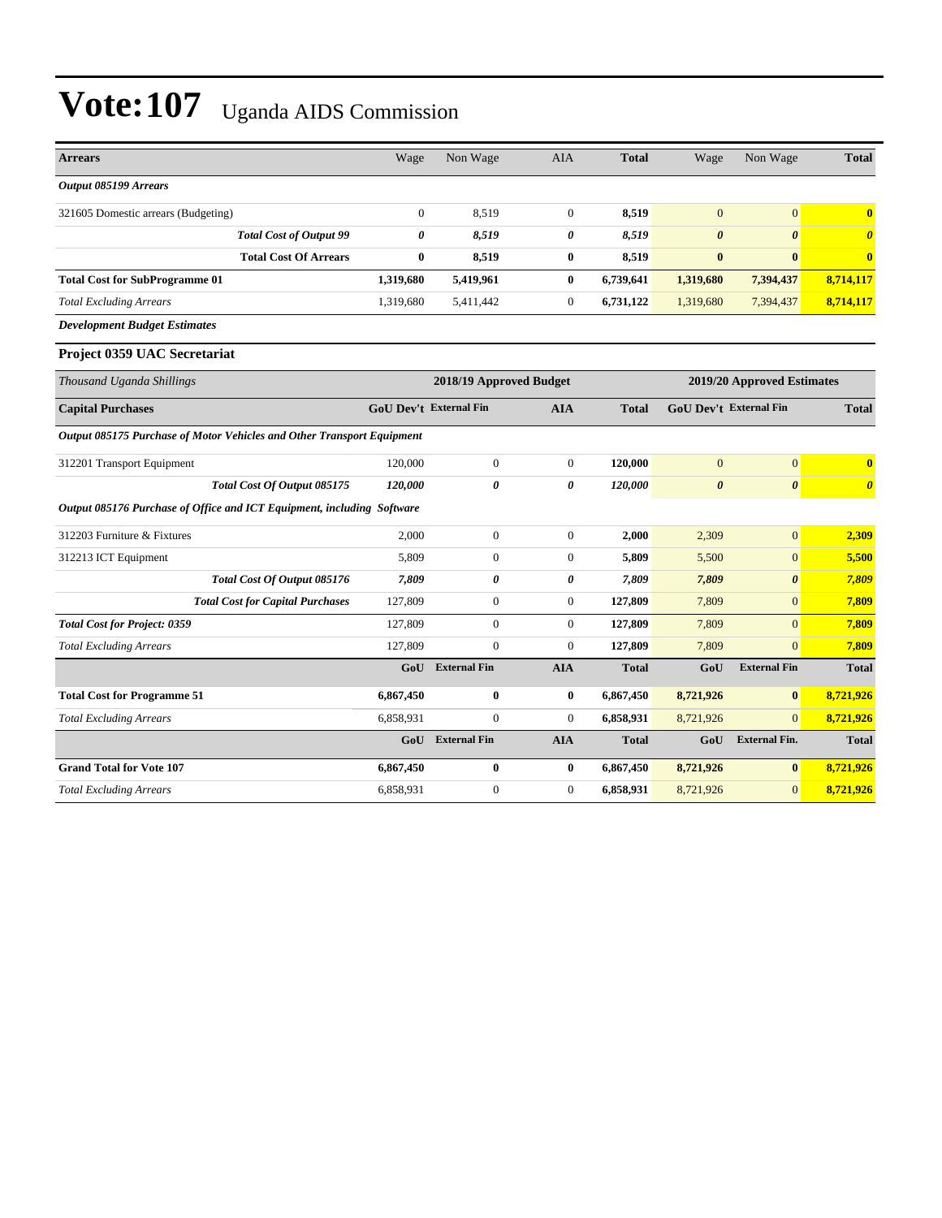| <b>Arrears</b>                                                         | Wage                          | Non Wage                | <b>AIA</b>       | <b>Total</b> | Wage                  | Non Wage                      | <b>Total</b>            |
|------------------------------------------------------------------------|-------------------------------|-------------------------|------------------|--------------|-----------------------|-------------------------------|-------------------------|
| Output 085199 Arrears                                                  |                               |                         |                  |              |                       |                               |                         |
| 321605 Domestic arrears (Budgeting)                                    | $\boldsymbol{0}$              | 8,519                   | $\mathbf{0}$     | 8,519        | $\mathbf{0}$          | $\overline{0}$                | $\bf{0}$                |
| <b>Total Cost of Output 99</b>                                         | 0                             | 8,519                   | $\pmb{\theta}$   | 8,519        | $\boldsymbol{\theta}$ | $\boldsymbol{\theta}$         | $\boldsymbol{\theta}$   |
| <b>Total Cost Of Arrears</b>                                           | $\bf{0}$                      | 8,519                   | $\bf{0}$         | 8,519        | $\bf{0}$              | $\bf{0}$                      | $\overline{\mathbf{0}}$ |
| <b>Total Cost for SubProgramme 01</b>                                  | 1,319,680                     | 5,419,961               | $\bf{0}$         | 6,739,641    | 1,319,680             | 7,394,437                     | 8,714,117               |
| <b>Total Excluding Arrears</b>                                         | 1,319,680                     | 5,411,442               | $\mathbf{0}$     | 6,731,122    | 1,319,680             | 7,394,437                     | 8,714,117               |
| <b>Development Budget Estimates</b>                                    |                               |                         |                  |              |                       |                               |                         |
| Project 0359 UAC Secretariat                                           |                               |                         |                  |              |                       |                               |                         |
| Thousand Uganda Shillings                                              |                               | 2018/19 Approved Budget |                  |              |                       | 2019/20 Approved Estimates    |                         |
| <b>Capital Purchases</b>                                               | <b>GoU Dev't External Fin</b> |                         | <b>AIA</b>       | <b>Total</b> |                       | <b>GoU Dev't External Fin</b> | <b>Total</b>            |
| Output 085175 Purchase of Motor Vehicles and Other Transport Equipment |                               |                         |                  |              |                       |                               |                         |
| 312201 Transport Equipment                                             | 120,000                       | $\boldsymbol{0}$        | $\mathbf{0}$     | 120,000      | $\mathbf{0}$          | $\mathbf{0}$                  | $\bf{0}$                |
| Total Cost Of Output 085175                                            | 120,000                       | 0                       | 0                | 120,000      | $\boldsymbol{\theta}$ | 0                             | $\boldsymbol{\theta}$   |
| Output 085176 Purchase of Office and ICT Equipment, including Software |                               |                         |                  |              |                       |                               |                         |
| 312203 Furniture & Fixtures                                            | 2,000                         | $\boldsymbol{0}$        | $\overline{0}$   | 2,000        | 2,309                 | $\overline{0}$                | 2,309                   |
| 312213 ICT Equipment                                                   | 5,809                         | $\boldsymbol{0}$        | $\overline{0}$   | 5,809        | 5,500                 | $\overline{0}$                | 5,500                   |
| Total Cost Of Output 085176                                            | 7.809                         | 0                       | 0                | 7,809        | 7,809                 | $\boldsymbol{\theta}$         | 7,809                   |
| <b>Total Cost for Capital Purchases</b>                                | 127,809                       | $\boldsymbol{0}$        | $\mathbf{0}$     | 127,809      | 7,809                 | $\overline{0}$                | 7,809                   |
| <b>Total Cost for Project: 0359</b>                                    | 127,809                       | $\overline{0}$          | $\overline{0}$   | 127,809      | 7,809                 | $\Omega$                      | 7,809                   |
| <b>Total Excluding Arrears</b>                                         | 127,809                       | $\overline{0}$          | $\mathbf{0}$     | 127,809      | 7,809                 | $\overline{0}$                | 7,809                   |
|                                                                        | GoU                           | <b>External Fin</b>     | <b>AIA</b>       | <b>Total</b> | GoU                   | <b>External Fin</b>           | <b>Total</b>            |
| <b>Total Cost for Programme 51</b>                                     | 6,867,450                     | 0                       | $\bf{0}$         | 6,867,450    | 8,721,926             | $\bf{0}$                      | 8,721,926               |
| <b>Total Excluding Arrears</b>                                         | 6,858,931                     | $\boldsymbol{0}$        | $\mathbf{0}$     | 6,858,931    | 8,721,926             | $\overline{0}$                | 8,721,926               |
|                                                                        | GoU                           | <b>External Fin</b>     | <b>AIA</b>       | <b>Total</b> | GoU                   | <b>External Fin.</b>          | <b>Total</b>            |
| <b>Grand Total for Vote 107</b>                                        | 6,867,450                     | $\bf{0}$                | $\bf{0}$         | 6,867,450    | 8,721,926             | $\bf{0}$                      | 8,721,926               |
| Total Excluding Arrears                                                | 6,858,931                     | $\boldsymbol{0}$        | $\boldsymbol{0}$ | 6,858,931    | 8,721,926             | $\overline{0}$                | 8,721,926               |